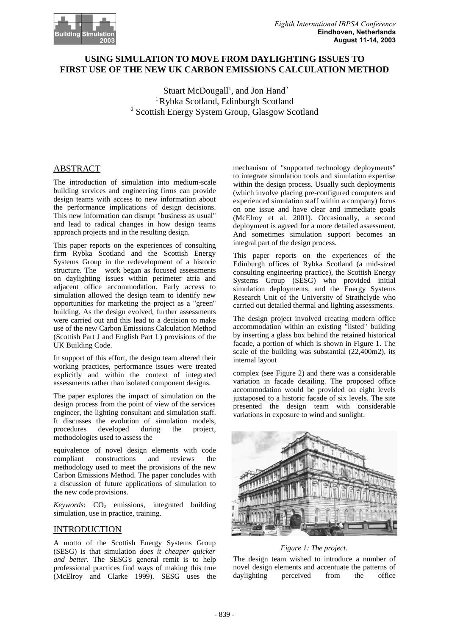# **USING SIMULATION TO MOVE FROM DAYLIGHTING ISSUES TO FIRST USE OF THE NEW UK CARBON EMISSIONS CALCULATION METHOD**

Stuart McDougall<sup>1</sup>, and Jon Hand<sup>2</sup> 1 Rybka Scotland, Edinburgh Scotland <sup>2</sup> Scottish Energy System Group, Glasgow Scotland

# ABSTRACT

The introduction of simulation into medium-scale building services and engineering firms can provide design teams with access to new information about the performance implications of design decisions. This new information can disrupt "business as usual" and lead to radical changes in how design teams approach projects and in the resulting design.

This paper reports on the experiences of consulting firm Rybka Scotland and the Scottish Energy Systems Group in the redevelopment of a historic structure. The work began as focused assessments on daylighting issues within perimeter atria and adjacent office accommodation. Early access to simulation allowed the design team to identify new opportunities for marketing the project as a "green" building. As the design evolved, further assessments were carried out and this lead to a decision to make use of the new Carbon Emissions Calculation Method (Scottish Part J and English Part L) provisions of the UK Building Code.

In support of this effort, the design team altered their working practices, performance issues were treated explicitly and within the context of integrated assessments rather than isolated component designs.

The paper explores the impact of simulation on the design process from the point of view of the services engineer, the lighting consultant and simulation staff. It discusses the evolution of simulation models, procedures developed during the project, methodologies used to assess the

equivalence of novel design elements with code compliant constructions and reviews the methodology used to meet the provisions of the new Carbon Emissions Method. The paper concludes with a discussion of future applications of simulation to the new code provisions.

Keywords: CO<sub>2</sub> emissions, integrated building simulation, use in practice, training.

## INTRODUCTION

A motto of the Scottish Energy Systems Group (SESG) is that simulation *does it cheaper quicker and better*. The SESG's general remit is to help professional practices find ways of making this true (McElroy and Clarke 1999). SESG uses the

mechanism of "supported technology deployments" to integrate simulation tools and simulation expertise within the design process. Usually such deployments (which involve placing pre-configured computers and experienced simulation staff within a company) focus on one issue and have clear and immediate goals (McElroy et al. 2001). Occasionally, a second deployment is agreed for a more detailed assessment. And sometimes simulation support becomes an integral part of the design process.

This paper reports on the experiences of the Edinburgh offices of Rybka Scotland (a mid-sized consulting engineering practice), the Scottish Energy Systems Group (SESG) who provided initial simulation deployments, and the Energy Systems Research Unit of the University of Strathclyde who carried out detailed thermal and lighting assessments.

The design project involved creating modern office accommodation within an existing "listed" building by inserting a glass box behind the retained historical facade, a portion of which is shown in Figure 1. The scale of the building was substantial  $(22,400m2)$ , its internal layout

complex (see Figure 2) and there was a considerable variation in facade detailing. The proposed office accommodation would be provided on eight levels juxtaposed to a historic facade of six levels. The site presented the design team with considerable variations in exposure to wind and sunlight.



### *Figure 1: The project.*

The design team wished to introduce a number of novel design elements and accentuate the patterns of daylighting perceived from the office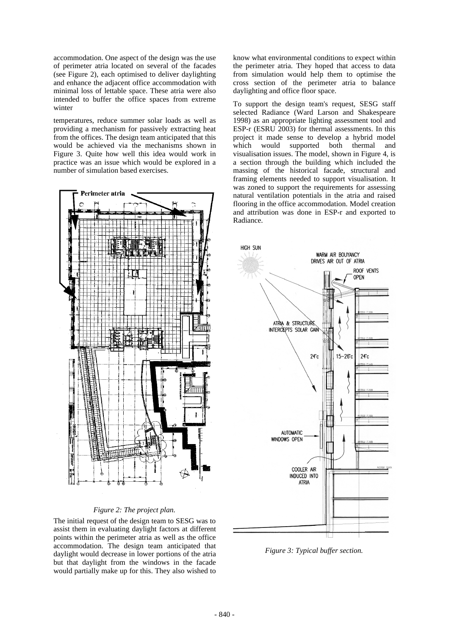accommodation. One aspect of the design was the use of perimeter atria located on several of the facades (see Figure 2), each optimised to deliver daylighting and enhance the adjacent office accommodation with minimal loss of lettable space. These atria were also intended to buffer the office spaces from extreme winter

temperatures, reduce summer solar loads as well as providing a mechanism for passively extracting heat from the offices. The design team anticipated that this would be achieved via the mechanisms shown in Figure 3. Quite how well this idea would work in practice was an issue which would be explored in a number of simulation based exercises.



### *Figure 2: The project plan.*

The initial request of the design team to SESG was to assist them in evaluating daylight factors at different points within the perimeter atria as well as the office accommodation. The design team anticipated that daylight would decrease in lower portions of the atria but that daylight from the windows in the facade would partially make up for this. They also wished to

know what environmental conditions to expect within the perimeter atria. They hoped that access to data from simulation would help them to optimise the cross section of the perimeter atria to balance daylighting and office floor space.

To support the design team's request, SESG staff selected Radiance (Ward Larson and Shakespeare 1998) as an appropriate lighting assessment tool and ESP-r (ESRU 2003) for thermal assessments. In this project it made sense to develop a hybrid model which would supported both thermal and visualisation issues. The model, shown in Figure 4, is a section through the building which included the massing of the historical facade, structural and framing elements needed to support visualisation. It was zoned to support the requirements for assessing natural ventilation potentials in the atria and raised flooring in the office accommodation. Model creation and attribution was done in ESP-r and exported to Radiance.



*Figure 3: Typical buffer section.*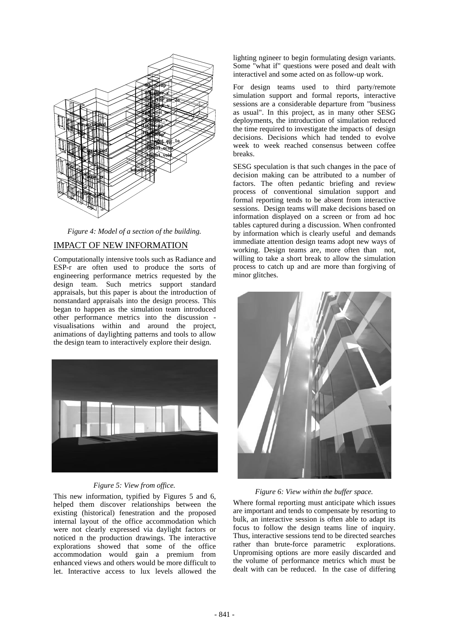

*Figure 4: Model of a section of the building.*

## IMPACT OF NEW INFORMATION

Computationally intensive tools such as Radiance and ESP-r are often used to produce the sorts of engineering performance metrics requested by the design team. Such metrics support standard appraisals, but this paper is about the introduction of nonstandard appraisals into the design process. This began to happen as the simulation team introduced other performance metrics into the discussion visualisations within and around the project, animations of daylighting patterns and tools to allow the design team to interactively explore their design.



### *Figure 5: View from office.*

This new information, typified by Figures 5 and 6, helped them discover relationships between the existing (historical) fenestration and the proposed internal layout of the office accommodation which were not clearly expressed via daylight factors or noticed n the production drawings. The interactive explorations showed that some of the office accommodation would gain a premium from enhanced views and others would be more difficult to let. Interactive access to lux levels allowed the

lighting ngineer to begin formulating design variants. Some "what if" questions were posed and dealt with interactivel and some acted on as follow-up work.

For design teams used to third party/remote simulation support and formal reports, interactive sessions are a considerable departure from "business as usual". In this project, as in many other SESG deployments, the introduction of simulation reduced the time required to investigate the impacts of design decisions. Decisions which had tended to evolve week to week reached consensus between coffee breaks.

SESG speculation is that such changes in the pace of decision making can be attributed to a number of factors. The often pedantic briefing and review process of conventional simulation support and formal reporting tends to be absent from interactive sessions. Design teams will make decisions based on information displayed on a screen or from ad hoc tables captured during a discussion. When confronted by information which is clearly useful and demands immediate attention design teams adopt new ways of working. Design teams are, more often than not, willing to take a short break to allow the simulation process to catch up and are more than forgiving of minor glitches.



### *Figure 6: View within the buffer space.*

Where formal reporting must anticipate which issues are important and tends to compensate by resorting to bulk, an interactive session is often able to adapt its focus to follow the design teams line of inquiry. Thus, interactive sessions tend to be directed searches rather than brute-force parametric explorations. Unpromising options are more easily discarded and the volume of performance metrics which must be dealt with can be reduced. In the case of differing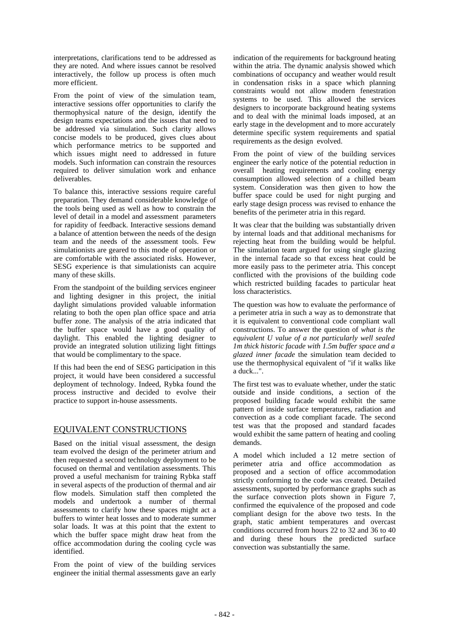interpretations, clarifications tend to be addressed as they are noted. And where issues cannot be resolved interactively, the follow up process is often much more efficient.

From the point of view of the simulation team, interactive sessions offer opportunities to clarify the thermophysical nature of the design, identify the design teams expectations and the issues that need to be addressed via simulation. Such clarity allows concise models to be produced, gives clues about which performance metrics to be supported and which issues might need to addressed in future models. Such information can constrain the resources required to deliver simulation work and enhance deliverables.

To balance this, interactive sessions require careful preparation. They demand considerable knowledge of the tools being used as well as how to constrain the level of detail in a model and assessment parameters for rapidity of feedback. Interactive sessions demand a balance of attention between the needs of the design team and the needs of the assessment tools. Few simulationists are geared to this mode of operation or are comfortable with the associated risks. However, SESG experience is that simulationists can acquire many of these skills.

From the standpoint of the building services engineer and lighting designer in this project, the initial daylight simulations provided valuable information relating to both the open plan office space and atria buffer zone. The analysis of the atria indicated that the buffer space would have a good quality of daylight. This enabled the lighting designer to provide an integrated solution utilizing light fittings that would be complimentary to the space.

If this had been the end of SESG participation in this project, it would have been considered a successful deployment of technology. Indeed, Rybka found the process instructive and decided to evolve their practice to support in-house assessments.

## EQUIVALENT CONSTRUCTIONS

Based on the initial visual assessment, the design team evolved the design of the perimeter atrium and then requested a second technology deployment to be focused on thermal and ventilation assessments. This proved a useful mechanism for training Rybka staff in several aspects of the production of thermal and air flow models. Simulation staff then completed the models and undertook a number of thermal assessments to clarify how these spaces might act a buffers to winter heat losses and to moderate summer solar loads. It was at this point that the extent to which the buffer space might draw heat from the office accommodation during the cooling cycle was identified.

From the point of view of the building services engineer the initial thermal assessments gave an early

indication of the requirements for background heating within the atria. The dynamic analysis showed which combinations of occupancy and weather would result in condensation risks in a space which planning constraints would not allow modern fenestration systems to be used. This allowed the services designers to incorporate background heating systems and to deal with the minimal loads imposed, at an early stage in the development and to more accurately determine specific system requirements and spatial requirements as the design evolved.

From the point of view of the building services engineer the early notice of the potential reduction in overall heating requirements and cooling energy consumption allowed selection of a chilled beam system. Consideration was then given to how the buffer space could be used for night purging and early stage design process was revised to enhance the benefits of the perimeter atria in this regard.

It was clear that the building was substantially driven by internal loads and that additional mechanisms for rejecting heat from the building would be helpful. The simulation team argued for using single glazing in the internal facade so that excess heat could be more easily pass to the perimeter atria. This concept conflicted with the provisions of the building code which restricted building facades to particular heat loss characteristics.

The question was how to evaluate the performance of a perimeter atria in such a way as to demonstrate that it is equivalent to conventional code compliant wall constructions. To answer the question of *what is the equivalent U value of a not particularly well sealed 1m thick historic facade with 1.5m buffer space and a glazed inner facade* the simulation team decided to use the thermophysical equivalent of "if it walks like a duck...".

The first test was to evaluate whether, under the static outside and inside conditions, a section of the proposed building facade would exhibit the same pattern of inside surface temperatures, radiation and convection as a code compliant facade. The second test was that the proposed and standard facades would exhibit the same pattern of heating and cooling demands.

A model which included a 12 metre section of perimeter atria and office accommodation as proposed and a section of office accommodation strictly conforming to the code was created. Detailed assessments, suported by performance graphs such as the surface convection plots shown in Figure 7, confirmed the equivalence of the proposed and code compliant design for the above two tests. In the graph, static ambient temperatures and overcast conditions occurred from hours 22 to 32 and 36 to 40 and during these hours the predicted surface convection was substantially the same.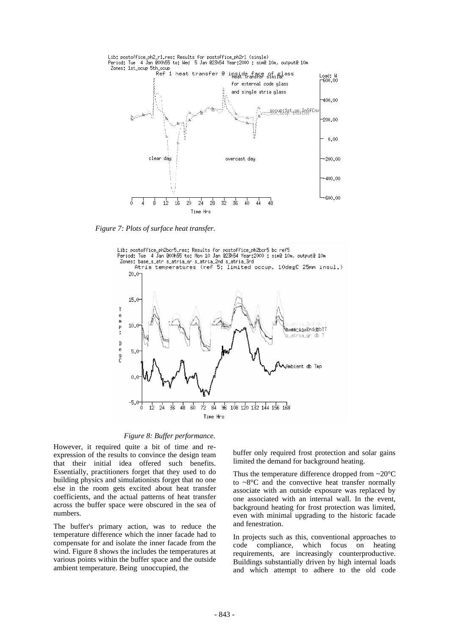

*Figure 7: Plots of surface heat transfer.*



#### *Figure 8: Buffer performance.*

However, it required quite a bit of time and reexpression of the results to convince the design team that their initial idea offered such benefits. Essentially, practitioners forget that they used to do building physics and simulationists forget that no one else in the room gets excited about heat transfer coefficients, and the actual patterns of heat transfer across the buffer space were obscured in the sea of numbers.

The buffer's primary action, was to reduce the temperature difference which the inner facade had to compensate for and isolate the inner facade from the wind. Figure 8 shows the includes the temperatures at various points within the buffer space and the outside ambient temperature. Being unoccupied, the

buffer only required frost protection and solar gains limited the demand for background heating.

Thus the temperature difference dropped from  $\sim$ 20 $\degree$ C to  $\sim8$ °C and the convective heat transfer normally associate with an outside exposure was replaced by one associated with an internal wall. In the event, background heating for frost protection was limited, even with minimal upgrading to the historic facade and fenestration.

In projects such as this, conventional approaches to code compliance, which focus on heating requirements, are increasingly counterproductive. Buildings substantially driven by high internal loads and which attempt to adhere to the old code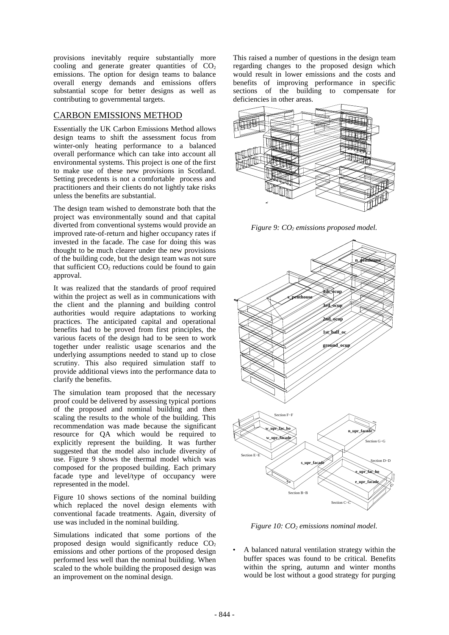provisions inevitably require substantially more cooling and generate greater quantities of  $CO<sub>2</sub>$ emissions. The option for design teams to balance overall energy demands and emissions offers substantial scope for better designs as well as contributing to governmental targets.

## CARBON EMISSIONS METHOD

Essentially the UK Carbon Emissions Method allows design teams to shift the assessment focus from winter-only heating performance to a balanced overall performance which can take into account all environmental systems. This project is one of the first to make use of these new provisions in Scotland. Setting precedents is not a comfortable process and practitioners and their clients do not lightly take risks unless the benefits are substantial.

The design team wished to demonstrate both that the project was environmentally sound and that capital diverted from conventional systems would provide an improved rate-of-return and higher occupancy rates if invested in the facade. The case for doing this was thought to be much clearer under the new provisions of the building code, but the design team was not sure that sufficient  $CO<sub>2</sub>$  reductions could be found to gain approval.

It was realized that the standards of proof required within the project as well as in communications with the client and the planning and building control authorities would require adaptations to working practices. The anticipated capital and operational benefits had to be proved from first principles, the various facets of the design had to be seen to work together under realistic usage scenarios and the underlying assumptions needed to stand up to close scrutiny. This also required simulation staff to provide additional views into the performance data to clarify the benefits.

The simulation team proposed that the necessary proof could be delivered by assessing typical portions of the proposed and nominal building and then scaling the results to the whole of the building. This recommendation was made because the significant resource for QA which would be required to explicitly represent the building. It was further suggested that the model also include diversity of use. Figure 9 shows the thermal model which was composed for the proposed building. Each primary facade type and level/type of occupancy were represented in the model.

Figure 10 shows sections of the nominal building which replaced the novel design elements with conventional facade treatments. Again, diversity of use was included in the nominal building.

Simulations indicated that some portions of the proposed design would significantly reduce  $CO<sub>2</sub>$ emissions and other portions of the proposed design performed less well than the nominal building. When scaled to the whole building the proposed design was an improvement on the nominal design.

This raised a number of questions in the design team regarding changes to the proposed design which would result in lower emissions and the costs and benefits of improving performance in specific sections of the building to compensate for deficiencies in other areas.



*Figure 9: CO<sub>2</sub> emissions proposed model.* 



*Figure 10: CO<sub>2</sub> emissions nominal model.* 

 A balanced natural ventilation strategy within the buffer spaces was found to be critical. Benefits within the spring, autumn and winter months would be lost without a good strategy for purging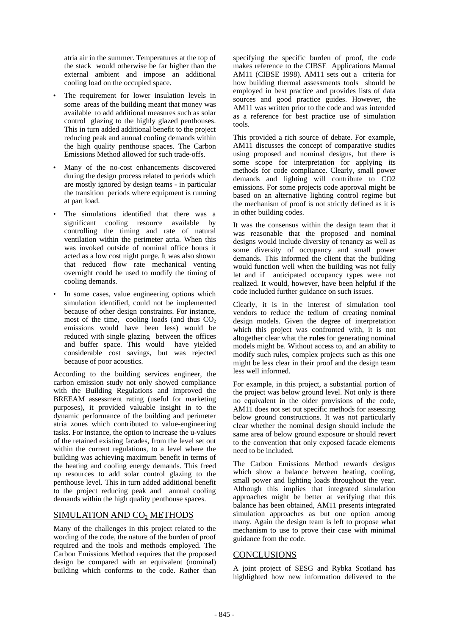atria air in the summer. Temperatures at the top of the stack would otherwise be far higher than the external ambient and impose an additional cooling load on the occupied space.

- The requirement for lower insulation levels in some areas of the building meant that money was available to add additional measures such as solar control glazing to the highly glazed penthouses. This in turn added additional benefit to the project reducing peak and annual cooling demands within the high quality penthouse spaces. The Carbon Emissions Method allowed for such trade-offs.
- Many of the no-cost enhancements discovered during the design process related to periods which are mostly ignored by design teams - in particular the transition periods where equipment is running at part load.
- The simulations identified that there was a significant cooling resource available by controlling the timing and rate of natural ventilation within the perimeter atria. When this was invoked outside of nominal office hours it acted as a low cost night purge. It was also shown that reduced flow rate mechanical venting overnight could be used to modify the timing of cooling demands.
- In some cases, value engineering options which simulation identified, could not be implemented because of other design constraints. For instance, most of the time, cooling loads (and thus  $CO<sub>2</sub>$ emissions would have been less) would be reduced with single glazing between the offices and buffer space. This would have yielded considerable cost savings, but was rejected because of poor acoustics.

According to the building services engineer, the carbon emission study not only showed compliance with the Building Regulations and improved the BREEAM assessment rating (useful for marketing purposes), it provided valuable insight in to the dynamic performance of the building and perimeter atria zones which contributed to value-engineering tasks. For instance, the option to increase the u-values of the retained existing facades, from the level set out within the current regulations, to a level where the building was achieving maximum benefit in terms of the heating and cooling energy demands. This freed up resources to add solar control glazing to the penthouse level. This in turn added additional benefit to the project reducing peak and annual cooling demands within the high quality penthouse spaces.

# SIMULATION AND CO<sub>2</sub> METHODS

Many of the challenges in this project related to the wording of the code, the nature of the burden of proof required and the tools and methods employed. The Carbon Emissions Method requires that the proposed design be compared with an equivalent (nominal) building which conforms to the code. Rather than

specifying the specific burden of proof, the code makes reference to the CIBSE Applications Manual AM11 (CIBSE 1998). AM11 sets out a criteria for how building thermal assessments tools should be employed in best practice and provides lists of data sources and good practice guides. However, the AM11 was written prior to the code and was intended as a reference for best practice use of simulation tools.

This provided a rich source of debate. For example, AM11 discusses the concept of comparative studies using proposed and nominal designs, but there is some scope for interpretation for applying its methods for code compliance. Clearly, small power demands and lighting will contribute to CO2 emissions. For some projects code approval might be based on an alternative lighting control regime but the mechanism of proof is not strictly defined as it is in other building codes.

It was the consensus within the design team that it was reasonable that the proposed and nominal designs would include diversity of tenancy as well as some diversity of occupancy and small power demands. This informed the client that the building would function well when the building was not fully let and if anticipated occupancy types were not realized. It would, however, have been helpful if the code included further guidance on such issues.

Clearly, it is in the interest of simulation tool vendors to reduce the tedium of creating nominal design models. Given the degree of interpretation which this project was confronted with, it is not altogether clear what the **rules** for generating nominal models might be. Without access to, and an ability to modify such rules, complex projects such as this one might be less clear in their proof and the design team less well informed.

For example, in this project, a substantial portion of the project was below ground level. Not only is there no equivalent in the older provisions of the code, AM11 does not set out specific methods for assessing below ground constructions. It was not particularly clear whether the nominal design should include the same area of below ground exposure or should revert to the convention that only exposed facade elements need to be included.

The Carbon Emissions Method rewards designs which show a balance between heating, cooling, small power and lighting loads throughout the year. Although this implies that integrated simulation approaches might be better at verifying that this balance has been obtained, AM11 presents integrated simulation approaches as but one option among many. Again the design team is left to propose what mechanism to use to prove their case with minimal guidance from the code.

# **CONCLUSIONS**

A joint project of SESG and Rybka Scotland has highlighted how new information delivered to the